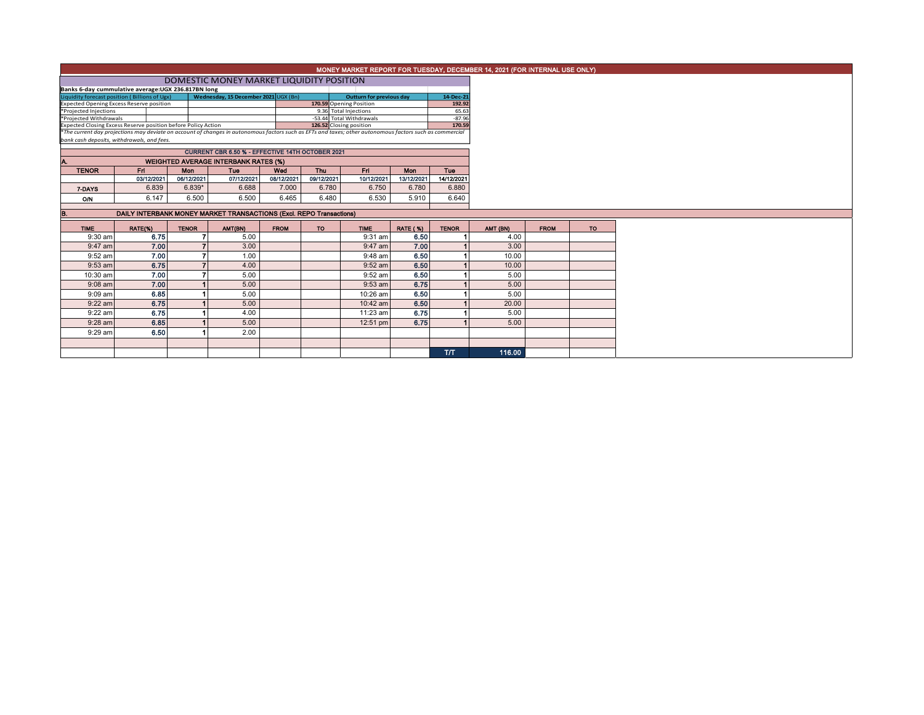|                                                                                                                   |                                                     |              |                                                                     |             |                                                                                                                                                                                     |                          |                 |                    | MONEY MARKET REPORT FOR TUESDAY, DECEMBER 14, 2021 (FOR INTERNAL USE ONLY) |             |           |
|-------------------------------------------------------------------------------------------------------------------|-----------------------------------------------------|--------------|---------------------------------------------------------------------|-------------|-------------------------------------------------------------------------------------------------------------------------------------------------------------------------------------|--------------------------|-----------------|--------------------|----------------------------------------------------------------------------|-------------|-----------|
|                                                                                                                   |                                                     |              | DOMESTIC MONEY MARKET LIQUIDITY POSITION                            |             |                                                                                                                                                                                     |                          |                 |                    |                                                                            |             |           |
|                                                                                                                   | Banks 6-day cummulative average: UGX 236.817BN long |              |                                                                     |             |                                                                                                                                                                                     |                          |                 |                    |                                                                            |             |           |
| Wednesday, 15 December 2021 UGX (Bn)<br>Liquidity forecast position (Billions of Ugx)<br>Outturn for previous day |                                                     |              |                                                                     |             |                                                                                                                                                                                     |                          |                 | 14-Dec-21          |                                                                            |             |           |
| 170.59 Opening Position<br><b>Expected Opening Excess Reserve position</b>                                        |                                                     |              |                                                                     |             |                                                                                                                                                                                     |                          | 192.92          |                    |                                                                            |             |           |
| *Projected Injections                                                                                             |                                                     |              |                                                                     |             |                                                                                                                                                                                     | 9.36 Total Injections    |                 | 65.63              |                                                                            |             |           |
| *Projected Withdrawals                                                                                            |                                                     |              |                                                                     |             |                                                                                                                                                                                     | -53.44 Total Withdrawals |                 | $-87.96$<br>170.59 |                                                                            |             |           |
| Expected Closing Excess Reserve position before Policy Action                                                     |                                                     |              |                                                                     |             | 126.52 Closing position<br>*The current day projections may deviate on account of changes in autonomous factors such as EFTs and taxes; other autonomous factors such as commercial |                          |                 |                    |                                                                            |             |           |
| bank cash deposits, withdrawals, and fees.                                                                        |                                                     |              |                                                                     |             |                                                                                                                                                                                     |                          |                 |                    |                                                                            |             |           |
|                                                                                                                   |                                                     |              |                                                                     |             |                                                                                                                                                                                     |                          |                 |                    |                                                                            |             |           |
|                                                                                                                   |                                                     |              | CURRENT CBR 6.50 % - EFFECTIVE 14TH OCTOBER 2021                    |             |                                                                                                                                                                                     |                          |                 |                    |                                                                            |             |           |
|                                                                                                                   |                                                     |              | <b>WEIGHTED AVERAGE INTERBANK RATES (%)</b>                         |             |                                                                                                                                                                                     |                          |                 |                    |                                                                            |             |           |
| <b>TENOR</b>                                                                                                      | Fri                                                 | Mon          | Tue                                                                 | Wed         | <b>Thu</b>                                                                                                                                                                          | Fri                      | <b>Mon</b>      | <b>Tue</b>         |                                                                            |             |           |
|                                                                                                                   | 03/12/2021                                          | 06/12/2021   | 07/12/2021                                                          | 08/12/2021  | 09/12/2021                                                                                                                                                                          | 10/12/2021               | 13/12/2021      | 14/12/2021         |                                                                            |             |           |
| 7-DAYS                                                                                                            | 6.839                                               | $6.839*$     | 6.688                                                               | 7.000       | 6.780                                                                                                                                                                               | 6.750                    | 6.780           | 6.880              |                                                                            |             |           |
| O/N                                                                                                               | 6.147                                               | 6.500        | 6.500                                                               | 6.465       | 6.480                                                                                                                                                                               | 6.530                    | 5.910           | 6.640              |                                                                            |             |           |
|                                                                                                                   |                                                     |              |                                                                     |             |                                                                                                                                                                                     |                          |                 |                    |                                                                            |             |           |
|                                                                                                                   |                                                     |              | DAILY INTERBANK MONEY MARKET TRANSACTIONS (Excl. REPO Transactions) |             |                                                                                                                                                                                     |                          |                 |                    |                                                                            |             |           |
| <b>TIME</b>                                                                                                       | RATE(%)                                             | <b>TENOR</b> | AMT(BN)                                                             | <b>FROM</b> | <b>TO</b>                                                                                                                                                                           | <b>TIME</b>              | <b>RATE (%)</b> | <b>TENOR</b>       | AMT (BN)                                                                   | <b>FROM</b> | <b>TO</b> |
| $9:30$ am                                                                                                         | 6.75                                                |              | 5.00                                                                |             |                                                                                                                                                                                     | 9:31 am                  | 6.50            |                    | 4.00                                                                       |             |           |
| 9:47 am                                                                                                           | 7.00                                                |              | 3.00                                                                |             |                                                                                                                                                                                     | $9:47$ am                | 7.00            |                    | 3.00                                                                       |             |           |
| 9:52 am                                                                                                           | 7.00                                                |              | 1.00                                                                |             |                                                                                                                                                                                     | $9:48$ am                | 6.50            |                    | 10.00                                                                      |             |           |
| $9:53$ am                                                                                                         | 6.75                                                |              | 4.00                                                                |             |                                                                                                                                                                                     | $9:52$ am                | 6.50            |                    | 10.00                                                                      |             |           |
| 10:30 am                                                                                                          | 7.00                                                |              | 5.00                                                                |             |                                                                                                                                                                                     | 9:52 am                  | 6.50            |                    | 5.00                                                                       |             |           |
| $9:08$ am                                                                                                         | 7.00                                                |              | 5.00                                                                |             |                                                                                                                                                                                     | $9:53$ am                | 6.75            |                    | 5.00                                                                       |             |           |
| $9:09$ am                                                                                                         | 6.85                                                |              | 5.00                                                                |             |                                                                                                                                                                                     | 10:26 am                 | 6.50            |                    | 5.00                                                                       |             |           |
| $9:22$ am                                                                                                         | 6.75                                                |              | 5.00                                                                |             |                                                                                                                                                                                     | $10:42$ am               | 6.50            |                    | 20.00                                                                      |             |           |

T/T 116.00

9:22 am **6.75 1** 4.00 11:23 am **6.75 1** 5.00 9:28 am **6.85 1** 5.00 | 12:51 pm **6.75 1** 5.00

9:29 am 6.50 1 2.00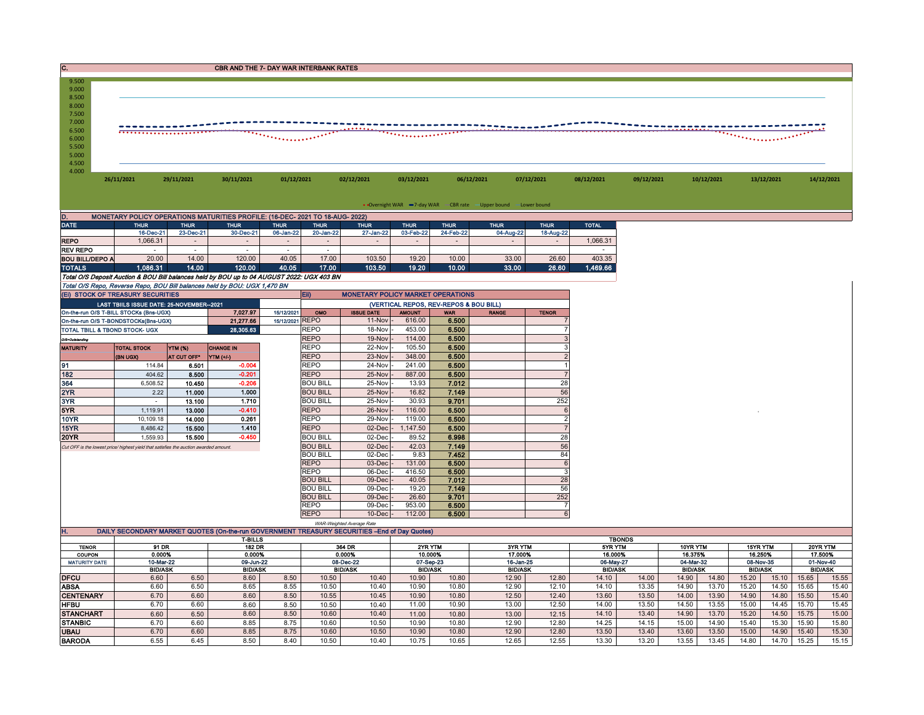| 9.500<br>9.000<br>8.500<br>8.000<br>7.500<br>$7.000$<br>6.500<br>6.000<br>5.500<br>5.000<br>4.500<br>4.000 |            |            |            |            |            |            |            |            |            |            |            |            |            |
|------------------------------------------------------------------------------------------------------------|------------|------------|------------|------------|------------|------------|------------|------------|------------|------------|------------|------------|------------|
|                                                                                                            | 26/11/2021 | 29/11/2021 | 30/11/2021 | 01/12/2021 | 02/12/2021 | 03/12/2021 | 06/12/2021 | 07/12/2021 | 08/12/2021 | 09/12/2021 | 10/12/2021 | 13/12/2021 | 14/12/2021 |

• Overnight WAR -7-day WAR - CBR rate - Upper bound -Lower bound

| D.<br>MONETARY POLICY OPERATIONS MATURITIES PROFILE: (16-DEC- 2021 TO 18-AUG- 2022)        |             |                          |             |             |             |                                          |                |             |             |             |              |  |  |
|--------------------------------------------------------------------------------------------|-------------|--------------------------|-------------|-------------|-------------|------------------------------------------|----------------|-------------|-------------|-------------|--------------|--|--|
| <b>DATE</b>                                                                                | <b>THUR</b> | <b>THUR</b>              | <b>THUR</b> | <b>THUR</b> | <b>THUR</b> | <b>THUR</b>                              | <b>THUR</b>    | <b>THUR</b> | <b>THUR</b> | <b>THUR</b> | <b>TOTAL</b> |  |  |
|                                                                                            | 16-Dec-21   | 23-Dec-21                | 30-Dec-21   | 06-Jan-22   | 20-Jan-22   | 27-Jan-22                                | 03-Feb-22      | 24-Feb-22   | 04-Aug-22   | 18-Aug-22   |              |  |  |
| <b>REPO</b>                                                                                | 1.066.31    |                          |             |             |             |                                          | $\blacksquare$ |             |             |             | 1.066.31     |  |  |
| <b>REV REPO</b>                                                                            |             | $\overline{\phantom{a}}$ |             |             | ۰           |                                          |                |             |             |             |              |  |  |
| <b>BOU BILL/DEPO A</b>                                                                     | 20.00       | 14.00                    | 120.00      | 40.05       | 17.00       | 103.50                                   | 19.20          | 10.00       | 33.00       | 26.60       | 403.35       |  |  |
| <b>TOTALS</b>                                                                              | 1,086.31    | 14.00                    | 120.00      | 40.05       | 17.00       | 103.50                                   | 19.20          | 10.00       | 33.00       | 26.60       | 1,469.66     |  |  |
| Total O/S Deposit Auction & BOU Bill balances held by BOU up to 04 AUGUST 2022: UGX 403 BN |             |                          |             |             |             |                                          |                |             |             |             |              |  |  |
| Total O/S Repo, Reverse Repo, BOU Bill balances held by BOU: UGX 1,470 BN                  |             |                          |             |             |             |                                          |                |             |             |             |              |  |  |
| (EI) STOCK OF TREASURY SECURITIES                                                          |             |                          |             |             | <b>Ein</b>  | <b>MONETARY POLICY MARKET OPERATIONS</b> |                |             |             |             |              |  |  |

|                 | (EI) STOCK OF TREASURY SECURITIES                                                     |                    |                  |                 | Eii)<br><b>MONETARY POLICY MARKET OPERATIONS</b> |                   |               |                                        |              |                |  |  |
|-----------------|---------------------------------------------------------------------------------------|--------------------|------------------|-----------------|--------------------------------------------------|-------------------|---------------|----------------------------------------|--------------|----------------|--|--|
|                 | LAST TBIILS ISSUE DATE: 25-NOVEMBER--2021                                             |                    |                  |                 |                                                  |                   |               | (VERTICAL REPOS, REV-REPOS & BOU BILL) |              |                |  |  |
|                 | On-the-run O/S T-BILL STOCKs (Bns-UGX)                                                |                    | 7.027.97         | 15/12/2021      | OMO                                              | <b>ISSUE DATE</b> | <b>AMOUNT</b> | <b>WAR</b>                             | <b>RANGE</b> | <b>TENOR</b>   |  |  |
|                 | On-the-run O/S T-BONDSTOCKs(Bns-UGX)                                                  |                    | 21,277.66        | 15/12/2021 REPO |                                                  | $11-Nov$ -        | 616.00        | 6.500                                  |              |                |  |  |
|                 | <b>TOTAL TBILL &amp; TBOND STOCK- UGX</b>                                             |                    | 28,305.63        |                 | <b>REPO</b>                                      | 18-Nov            | 453.00        | 6.500                                  |              |                |  |  |
| O/S=Outstanding |                                                                                       |                    |                  | <b>REPO</b>     | 19-Nov -                                         | 114.00            | 6.500         |                                        |              |                |  |  |
| <b>MATURITY</b> | <b>YTM (%)</b><br><b>TOTAL STOCK</b>                                                  |                    | <b>CHANGE IN</b> |                 | <b>REPO</b>                                      | 22-Nov            | 105.50        | 6.500                                  |              |                |  |  |
|                 | (BN UGX)                                                                              | <b>AT CUT OFF*</b> | YTM (+/-)        |                 | <b>REPO</b>                                      | 23-Nov            | 348.00        | 6.500                                  |              |                |  |  |
| 91              | 114.84                                                                                | 6.501              | $-0.004$         |                 | <b>REPO</b>                                      | 24-Nov            | 241.00        | 6.500                                  |              |                |  |  |
| 182             | 404.62                                                                                | 8.500              | $-0.201$         |                 | <b>REPO</b>                                      | 25-Nov            | 887.00        | 6.500                                  |              |                |  |  |
| 364             | 6.508.52                                                                              | 10.450             | $-0.206$         |                 | <b>BOU BILL</b>                                  | 25-Nov -          | 13.93         | 7.012                                  |              | 28             |  |  |
| 2YR             | 2.22                                                                                  | 11.000             | 1.000            |                 | <b>BOU BILL</b>                                  | 25-Nov -          | 16.82         | 7.149                                  |              | 56             |  |  |
| 3YR             |                                                                                       | 13.100             | 1.710            |                 | <b>BOU BILL</b>                                  | 25-Nov -          | 30.93         | 9.701                                  |              | 252            |  |  |
| 5YR             | 1.119.91                                                                              | 13.000             | $-0.410$         |                 | <b>REPO</b>                                      | 26-Nov -          | 116.00        | 6.500                                  |              | 6              |  |  |
| 10YR            | 10.109.18                                                                             | 14.000             | 0.261            |                 | <b>REPO</b>                                      | 29-Nov -          | 119.00        | 6.500                                  |              | $\overline{2}$ |  |  |
| 15YR            | 8.486.42                                                                              | 15.500             | 1.410            |                 | <b>REPO</b>                                      | $02$ -Dec         | 1,147.50      | 6.500                                  |              |                |  |  |
| <b>20YR</b>     | 1,559.93                                                                              | 15.500             | $-0.450$         |                 | <b>BOU BILL</b>                                  | 02-Dec            | 89.52         | 6.998                                  |              | 28             |  |  |
|                 | Cut OFF is the lowest price/ highest vield that satisfies the auction awarded amount. |                    |                  |                 | <b>BOU BILL</b>                                  | $02$ -Dec $-$     | 42.03         | 7.149                                  |              | 56             |  |  |
|                 |                                                                                       |                    |                  |                 | <b>BOU BILL</b>                                  | $02$ -Dec $-$     | 9.83          | 7.452                                  |              | 84             |  |  |
|                 |                                                                                       |                    |                  |                 | <b>REPO</b>                                      | $03$ -Dec $-$     | 131.00        | 6.500                                  |              | 6              |  |  |
|                 |                                                                                       |                    |                  |                 | <b>REPO</b>                                      | 06-Dec -          | 416.50        | 6.500                                  |              | 3              |  |  |
|                 |                                                                                       |                    |                  |                 | <b>BOU BILL</b>                                  | $09$ -Dec $ -$    | 40.05         | 7.012                                  |              | 28             |  |  |
|                 |                                                                                       |                    |                  |                 | <b>BOU BILL</b>                                  | 09-Dec -          | 19.20         | 7.149                                  |              | 56             |  |  |
|                 |                                                                                       |                    |                  |                 | <b>BOU BILL</b>                                  | 09-Dec -          | 26.60         | 9.701                                  |              | 252            |  |  |
|                 |                                                                                       |                    |                  |                 | <b>REPO</b>                                      | 09-Dec            | 953.00        | 6.500                                  |              |                |  |  |
|                 |                                                                                       |                    |                  |                 | <b>REPO</b>                                      | $10$ -Dec $-$     | 112.00        | 6.500                                  |              | 6              |  |  |

|                      |                                                                                               |      |                |      | WAR-Weighted Average Rate |        |                                                                      |         |                |           |                |               |          |           |          |           |       |           |  |
|----------------------|-----------------------------------------------------------------------------------------------|------|----------------|------|---------------------------|--------|----------------------------------------------------------------------|---------|----------------|-----------|----------------|---------------|----------|-----------|----------|-----------|-------|-----------|--|
| п.                   | DAILY SECONDARY MARKET QUOTES (On-the-run GOVERNMENT TREASURY SECURITIES --End of Day Quotes) |      |                |      |                           |        |                                                                      |         |                |           |                |               |          |           |          |           |       |           |  |
|                      |                                                                                               |      | <b>T-BILLS</b> |      |                           |        |                                                                      |         |                |           |                | <b>TBONDS</b> |          |           |          |           |       |           |  |
| <b>TENOR</b>         | 91 DR<br><b>182 DR</b>                                                                        |      | 364 DR         |      | 2YR YTM                   |        |                                                                      | 3YR YTM |                | 5YR YTM   |                | 10YR YTM      | 15YR YTM |           | 20YR YTM |           |       |           |  |
| <b>COUPON</b>        | 0.000%                                                                                        |      | 0.000%         |      |                           | 0.000% |                                                                      | 10.000% |                | 17.000%   |                | 16.000%       |          | 16.375%   |          | 16.250%   |       | 17.500%   |  |
| <b>MATURITY DATE</b> | 10-Mar-22                                                                                     |      | 09-Jun-22      |      | 08-Dec-22                 |        | 07-Sep-23                                                            |         |                | 16-Jan-25 |                | 06-May-27     |          | 04-Mar-32 |          | 08-Nov-35 |       | 01-Nov-40 |  |
|                      | <b>BID/ASK</b>                                                                                |      | <b>BID/ASK</b> |      | <b>BID/ASK</b>            |        | <b>BID/ASK</b><br><b>BID/ASK</b><br><b>BID/ASK</b><br><b>BID/ASK</b> |         | <b>BID/ASK</b> |           | <b>BID/ASK</b> |               |          |           |          |           |       |           |  |
| <b>DFCU</b>          | 6.60                                                                                          | 6.50 | 8.60           | 8.50 | 10.50                     | 10.40  | 10.90                                                                | 10.80   | 12.90          | 12.80     | 14.10          | 14.00         | 14.90    | 14.80     | 15.20    | 15.10     | 15.65 | 15.55     |  |
| ABSA                 | 6.60                                                                                          | 6.50 | 8.65           | 8.55 | 10.50                     | 10.40  | 10.90                                                                | 10.80   | 12.90          | 12.10     | 14.10          | 13.35         | 14.90    | 13.70     | 15.20    | 14.50     | 15.65 | 15.40     |  |
| <b>CENTENARY</b>     | 6.70                                                                                          | 6.60 | 8.60           | 8.50 | 10.55                     | 10.45  | 10.90                                                                | 10.80   | 12.50          | 12.40     | 13.60          | 13.50         | 14.00    | 13.90     | 14.90    | 14.80     | 15.50 | 15.40     |  |
| HFBU                 | 6.70                                                                                          | 6.60 | 8.60           | 8.50 | 10.50                     | 10.40  | 11.00                                                                | 10.90   | 13.00          | 12.50     | 14.00          | 13.50         | 14.50    | 13.55     | 15.00    | 14.45     | 15.70 | 15.45     |  |
| <b>STANCHART</b>     | 6.60                                                                                          | 6.50 | 8.60           | 8.50 | 10.60                     | 10.40  | 11.00                                                                | 10.80   | 13.00          | 12.15     | 14.10          | 13.40         | 14.90    | 13.70     | 15.20    | 14.50     | 15.75 | 15.00     |  |
| <b>STANBIC</b>       | 6.70                                                                                          | 6.60 | 8.85           | 8.75 | 10.60                     | 10.50  | 10.90                                                                | 10.80   | 12.90          | 12.80     | 14.25          | 14.15         | 15.00    | 14.90     | 15.40    | 15.30     | 15.90 | 15.80     |  |
| <b>UBAU</b>          | 6.70                                                                                          | 6.60 | 8.85           | 8.75 | 10.60                     | 10.50  | 10.90                                                                | 10.80   | 12.90          | 12.80     | 13.50          | 13.40         | 13.60    | 13.50     | 15.00    | 14.90     | 15.40 | 15.30     |  |
| <b>BARODA</b>        | 6.55                                                                                          | 6.45 | 8.5C           | 8.40 | 10.50                     | 10.40  | 10.75                                                                | 10.65   | 12.65          | 12.55     | 13.30          | 13.20         | 13.55    | 13.45     | 14.80    | 14.70     | 15.25 | 15.15     |  |